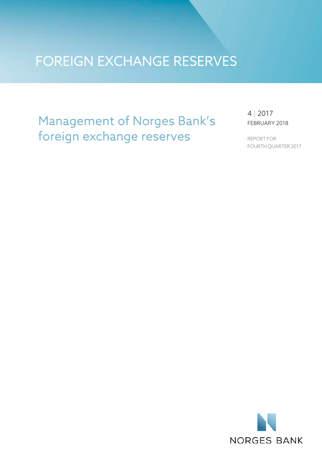# FOREIGN EXCHANGE RESERVES

# Management of Norges Bank's foreign exchange reserves

4 | 2017 FEBRUARY 2018

REPORT FOR FOURTH QUARTER 2017

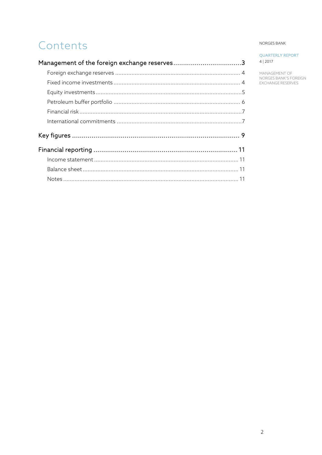# Contents

# NORGES BANK

**QUARTERLY REPORT** 4 | 2017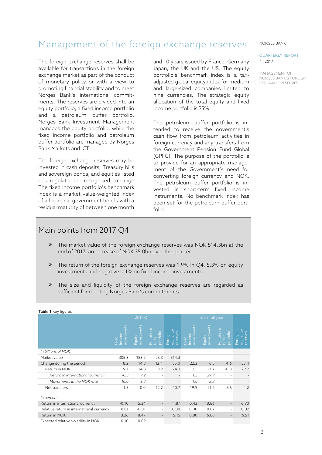# <span id="page-2-0"></span>Management of the foreign exchange reserves

The foreign exchange reserves shall be available for transactions in the foreign exchange market as part of the conduct of monetary policy or with a view to promoting financial stability and to meet Norges Bank's international commitments. The reserves are divided into an equity portfolio, a fixed income portfolio and a petroleum buffer portfolio. Norges Bank Investment Management manages the equity portfolio, while the fixed income portfolio and petroleum buffer portfolio are managed by Norges Bank Markets and ICT.

The foreign exchange reserves may be invested in cash deposits, Treasury bills and sovereign bonds, and equities listed on a regulated and recognised exchange. The fixed income portfolio's benchmark index is a market value-weighted index of all nominal government bonds with a residual maturity of between one month

and 10 years issued by France, Germany, Japan, the UK and the US. The equity portfolio's benchmark index is a taxadjusted global equity index for medium and large-sized companies limited to nine currencies. The strategic equity allocation of the total equity and fixed income portfolio is 35%.

The petroleum buffer portfolio is intended to receive the government's cash flow from petroleum activities in foreign currency and any transfers from the Government Pension Fund Global (GPFG). The purpose of the portfolio is to provide for an appropriate management of the Government's need for converting foreign currency and NOK. The petroleum buffer portfolio is invested in short-term fixed income instruments. No benchmark index has been set for the petroleum buffer portfolio.

# Main points from 2017 Q4

- The market value of the foreign exchange reserves was NOK 514.3bn at the end of 2017, an increase of NOK 35.0bn over the quarter.
- $\triangleright$  The return of the foreign exchange reserves was 1.9% in Q4, 5.3% on equity investments and negative 0.1% on fixed income investments.
- $\triangleright$  The size and liquidity of the foreign exchange reserves are regarded as sufficient for meeting Norges Bank's commitments.

|                                           | 2017 Q4                          |                       |                                  |                                 | 2017 full year                                |                            |                                  |                                 |
|-------------------------------------------|----------------------------------|-----------------------|----------------------------------|---------------------------------|-----------------------------------------------|----------------------------|----------------------------------|---------------------------------|
|                                           | ents<br>nvestm<br>ncome<br>Fixed | investments<br>Equity | Petroleum<br>buffer<br>portfolio | exchange<br>reserves<br>Foreign | $\overline{a}$<br>income<br>investme<br>Fixed | ents<br>investme<br>Equity | Petroleum<br>buffer<br>portfolio | exchange<br>reserves<br>Foreign |
| In billions of NOK                        |                                  |                       |                                  |                                 |                                               |                            |                                  |                                 |
| Market value                              | 305.3                            | 183.7                 | 25.3                             | 514.3                           |                                               |                            |                                  |                                 |
| Change during the period                  | 8.2                              | 14.3                  | 12.4                             | 35.0                            | 22.2                                          | 6.5                        | 4.6                              | 33.4                            |
| Return in NOK                             | 9.7                              | 14.3                  | 0.2                              | 24.3                            | 2.3                                           | 27.7                       | $-0.8$                           | 29.2                            |
| Return in international currency          | $-0.3$                           | 9.2                   | ٠                                | $\overline{\phantom{a}}$        | 1.3                                           | 29.9                       |                                  |                                 |
| Movements in the NOK rate                 | 10.0                             | 5.2                   | ٠                                |                                 | 1.0                                           | $-2.2$                     |                                  |                                 |
| Net transfers                             | $-1.5$                           | 0.0                   | 12.2                             | 10.7                            | 19.9                                          | $-21.2$                    | 5.5                              | 4.2                             |
| In percent                                |                                  |                       |                                  |                                 |                                               |                            |                                  |                                 |
| Return in international currency          | $-0.10$                          | 5.34                  | $\qquad \qquad \blacksquare$     | 1.87                            | 0.42                                          | 18.86                      | $\overline{\phantom{a}}$         | 6.90                            |
| Relative return in international currency | 0.01                             | $-0.01$               | $\overline{\phantom{0}}$         | 0.00                            | 0.00                                          | 0.07                       | $\sim$                           | 0.02                            |
| Return in NOK                             | 3.26                             | 8.47                  | $\overline{\phantom{a}}$         | 5.15                            | 0.80                                          | 16.86                      |                                  | 6.51                            |
| Expected relative volatility in NOK       | 0.10                             | 0.09                  |                                  |                                 |                                               |                            |                                  |                                 |

### **Table 1** Key figures

NORGES BANK

### QUARTERLY REPORT 4 | 2017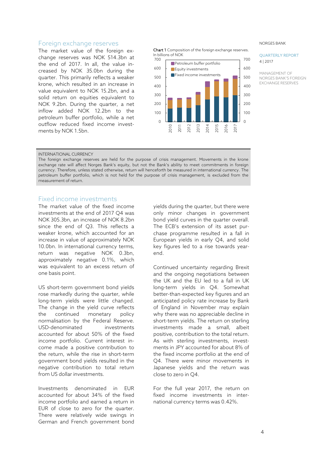# <span id="page-3-0"></span>Foreign exchange reserves

The market value of the foreign exchange reserves was NOK 514.3bn at the end of 2017. In all, the value increased by NOK 35.0bn during the quarter. This primarily reflects a weaker krone, which resulted in an increase in value equivalent to NOK 15.2bn, and a solid return on equities equivalent to NOK 9.2bn. During the quarter, a net inflow added NOK 12.2bn to the petroleum buffer portfolio, while a net outflow reduced fixed income investments by NOK 1.5bn.

Chart 1 Composition of the foreign exchange reserves. In billions of NOK



NORGES BANK

### QUARTERLY REPORT 4 | 2017

MANAGEMENT OF NORGES BANK'S FOREIGN EXCHANGE RESERVES

## INTERNATIONAL CURRENCY

The foreign exchange reserves are held for the purpose of crisis management. Movements in the krone exchange rate will affect Norges Bank's equity, but not the Bank's ability to meet commitments in foreign currency. Therefore, unless stated otherwise, return will henceforth be measured in international currency. The petroleum buffer portfolio, which is not held for the purpose of crisis management, is excluded from the measurement of return.

# <span id="page-3-1"></span>Fixed income investments

The market value of the fixed income investments at the end of 2017 Q4 was NOK 305.3bn, an increase of NOK 8.2bn since the end of Q3. This reflects a weaker krone, which accounted for an increase in value of approximately NOK 10.0bn. In international currency terms, return was negative NOK 0.3bn, approximately negative 0.1%, which was equivalent to an excess return of one basis point.

US short-term government bond yields rose markedly during the quarter, while long-term yields were little changed. The change in the yield curve reflects the continued monetary policy normalisation by the Federal Reserve. USD-denominated investments accounted for about 50% of the fixed income portfolio. Current interest income made a positive contribution to the return, while the rise in short-term government bond yields resulted in the negative contribution to total return from US dollar investments.

Investments denominated in EUR accounted for about 34% of the fixed income portfolio and earned a return in EUR of close to zero for the quarter. There were relatively wide swings in German and French government bond

yields during the quarter, but there were only minor changes in government bond yield curves in the quarter overall. The ECB's extension of its asset purchase programme resulted in a fall in European yields in early Q4, and solid key figures led to a rise towards yearend.

Continued uncertainty regarding Brexit and the ongoing negotiations between the UK and the EU led to a fall in UK long-term yields in Q4. Somewhat better-than-expected key figures and an anticipated policy rate increase by Bank of England in November may explain why there was no appreciable decline in short-term yields. The return on sterling investments made a small, albeit positive, contribution to the total return. As with sterling investments, investments in JPY accounted for about 8% of the fixed income portfolio at the end of Q4. There were minor movements in Japanese yields and the return was close to zero in Q4.

For the full year 2017, the return on fixed income investments in international currency terms was 0.42%.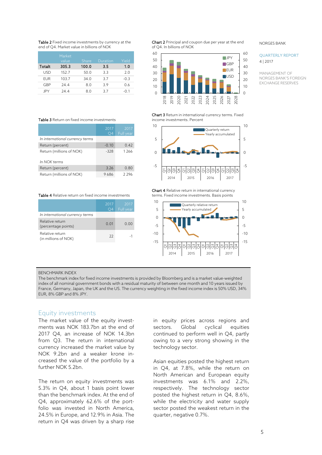Table 2 Fixed income investments by currency at the end of Q4. Market value in billions of NOK of Q4. In billions of NOK

|            | Market |       |          |        |
|------------|--------|-------|----------|--------|
|            | value  | Share | Duration | Yield  |
| Totalt     | 305.3  | 100.0 | 3.5      | 1.0    |
| USD        | 152.7  | 50.0  | 3.3      | 2.0    |
| <b>FUR</b> | 103.7  | 34.0  | 3.7      | $-0.3$ |
| GBP        | 24.4   | 8.0   | 3.9      | 0.6    |
| IPY        | 244    | 8 N   | 37       | -0 1   |

Table 3 Return on fixed income investments

|                                 | 2017<br>O4 | 2017<br>Full year |
|---------------------------------|------------|-------------------|
| In international currency terms |            |                   |
| Return (percent)                | $-0.10$    | 0.42              |
| Return (millions of NOK)        | $-328$     | 1266              |
| In NOK terms                    |            |                   |
| Return (percent)                | 3.26       | 0.80              |
| Return (millions of NOK)        | 9686       | 2296              |

|                                         | 2017<br>O4 | 2017<br>Full year |
|-----------------------------------------|------------|-------------------|
| In international currency terms         |            |                   |
| Relative return<br>(percentage points)  | 0.01       | 0.00              |
| Relative return<br>(in millions of NOK) | 22         | -1                |

**Chart 2** Principal and coupon due per year at the end of Q4. In billions of NOK



Chart 3 Return in international currency terms. Fixed income investments. Percent



**Table 4** Relative return in international currency<br>Table 4 Relative return on fixed income investments currency terms. Fixed income investments. Basis points terms. Fixed income investments. Basis points



#### BENCHMARK INDEX

The benchmark index for fixed income investments is provided by Bloomberg and is a market value-weighted index of all nominal government bonds with a residual maturity of between one month and 10 years issued by France, Germany, Japan, the UK and the US. The currency weighting in the fixed income index is 50% USD, 34% EUR, 8% GBP and 8% JPY.

# <span id="page-4-0"></span>Equity investments

The market value of the equity investments was NOK 183.7bn at the end of 2017 Q4, an increase of NOK 14.3bn from Q3. The return in international currency increased the market value by NOK 9.2bn and a weaker krone increased the value of the portfolio by a further NOK 5.2bn.

The return on equity investments was 5.3% in Q4, about 1 basis point lower than the benchmark index. At the end of Q4, approximately 62.6% of the portfolio was invested in North America, 24.5% in Europe, and 12.9% in Asia. The return in Q4 was driven by a sharp rise

in equity prices across regions and sectors. Global cyclical equities continued to perform well in Q4, partly owing to a very strong showing in the technology sector.

Asian equities posted the highest return in Q4, at 7.8%, while the return on North American and European equity investments was 6.1% and 2.2%, respectively. The technology sector posted the highest return in Q4, 8.6%, while the electricity and water supply sector posted the weakest return in the quarter, negative 0.7%.

#### NORGES BANK

## QUARTERLY REPORT 4 | 2017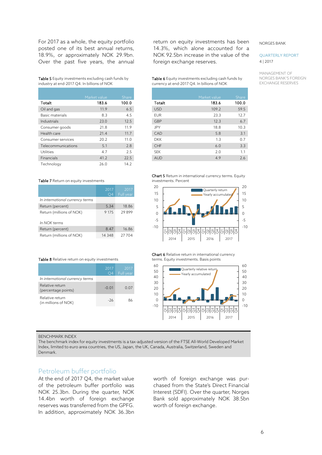For 2017 as a whole, the equity portfolio posted one of its best annual returns, 18.9%, or approximately NOK 29.9bn. Over the past five years, the annual

Table 5 Equity investments excluding cash funds by industry at end-2017 Q4. In billions of NOK

|                    | Market value | Share |
|--------------------|--------------|-------|
| Totalt             | 183.6        | 100.0 |
| Oil and gas        | 11.9         | 65    |
| Basic materials    | 8.3          | 45    |
| Industrials        | 23.0         | 12.5  |
| Consumer goods     | 21.8         | 11.9  |
| Health care        | 21.4         | 11.7  |
| Consumer services  | 20.2         | 11.0  |
| Telecommunications | 5.1          | 2.8   |
| Utilities          | 4.7          | 25    |
| Financials         | 41.2         | 22.5  |
| Technology         | 26.0         | 14.2  |

## Table 7 Return on equity investments

|                                 | 2017<br>O4 | 2017<br>Full year |
|---------------------------------|------------|-------------------|
| In international currency terms |            |                   |
| Return (percent)                | 5.34       | 18.86             |
| Return (millions of NOK)        | 9 1 7 5    | 29899             |
| In NOK terms                    |            |                   |
| Return (percent)                | 8.47       | 16.86             |
| Return (millions of NOK)        | 14 3 48    | 27704             |

|                                         | 2017<br>( )4 | 2017<br>Full year |
|-----------------------------------------|--------------|-------------------|
| In international currency terms         |              |                   |
| Relative return<br>(percentage points)  | $-0.01$      | 0.07              |
| Relative return<br>(in millions of NOK) | -26          | 86                |

return on equity investments has been 14.3%, which alone accounted for a NOK 92.5bn increase in the value of the foreign exchange reserves.

Table 6 Equity investments excluding cash funds by currency at end-2017 Q4. In billions of NOK

|            | Market value | Share |
|------------|--------------|-------|
| Totalt     | 183.6        | 100.0 |
| <b>USD</b> | 109.2        | 59.5  |
| <b>FUR</b> | 23.3         | 12.7  |
| GBP        | 12.3         | 6.7   |
| <b>JPY</b> | 18.8         | 10.3  |
| CAD        | 5.8          | 3.1   |
| <b>DKK</b> | 1.3          | 0.7   |
| CHF        | 6.0          | 3.3   |
| <b>SFK</b> | 2.0          | 1.1   |
| <b>AUD</b> | 4.9          | 26    |
|            |              |       |





**Table 8** Relative return on equity investments Chart 6 Relative return in international currency<br>terms. Equity investments. Basis points terms. Equity investments. Basis points



#### BENCHMARK INDEX

The benchmark index for equity investments is a tax-adjusted version of the FTSE All-World Developed Market Index, limited to euro area countries, the US, Japan, the UK, Canada, Australia, Switzerland, Sweden and Denmark.

# <span id="page-5-0"></span>Petroleum buffer portfolio

At the end of 2017 Q4, the market value of the petroleum buffer portfolio was NOK 25.3bn. During the quarter, NOK 14.4bn worth of foreign exchange reserves was transferred from the GPFG. In addition, approximately NOK 36.3bn

worth of foreign exchange was purchased from the State's Direct Financial Interest (SDFI). Over the quarter, Norges Bank sold approximately NOK 38.5bn worth of foreign exchange.

#### NORGES BANK

# QUARTERLY REPORT 4 | 2017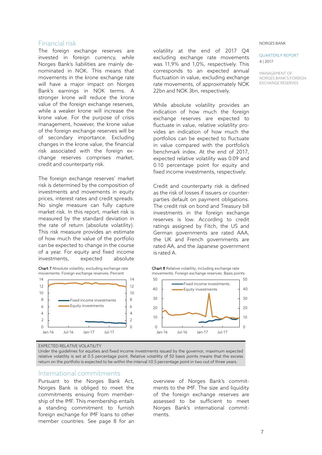# <span id="page-6-0"></span>Financial risk

The foreign exchange reserves are invested in foreign currency, while Norges Bank's liabilities are mainly denominated in NOK. This means that movements in the krone exchange rate will have a major impact on Norges Bank's earnings in NOK terms. A stronger krone will reduce the krone value of the foreign exchange reserves, while a weaker krone will increase the krone value. For the purpose of crisis management, however, the krone value of the foreign exchange reserves will be of secondary importance. Excluding changes in the krone value, the financial risk associated with the foreign exchange reserves comprises market, credit and counterparty risk.

The foreign exchange reserves' market risk is determined by the composition of investments and movements in equity prices, interest rates and credit spreads. No single measure can fully capture market risk. In this report, market risk is measured by the standard deviation in the rate of return (absolute volatility). This risk measure provides an estimate of how much the value of the portfolio can be expected to change in the course of a year. For equity and fixed income investments, expected absolute





volatility at the end of 2017 Q4 excluding exchange rate movements was 11,9% and 1,0%, respectively. This corresponds to an expected annual fluctuation in value, excluding exchange rate movements, of approximately NOK 22bn and NOK 3bn, respectively.

While absolute volatility provides an indication of how much the foreign exchange reserves are expected to fluctuate in value, relative volatility provides an indication of how much the portfolios can be expected to fluctuate in value compared with the portfolio's benchmark index. At the end of 2017, expected relative volatility was 0.09 and 0.10 percentage point for equity and fixed income investments, respectively.

Credit and counterparty risk is defined as the risk of losses if issuers or counterparties default on payment obligations. The credit risk on bond and Treasury bill investments in the foreign exchange reserves is low. According to credit ratings assigned by Fitch, the US and German governments are rated AAA, the UK and French governments are rated AA, and the Japanese government is rated A.





EXPECTED RELATIVE VOLATILITY

Under the guidelines for equities and fixed income investments issued by the governor, maximum expected relative volatility is set at 0.5 percentage point. Relative volatility of 50 basis points means that the excess return on the portfolio is expected to be within the interval ±0.5 percentage point in two out of three years.

# <span id="page-6-1"></span>International commitments

Pursuant to the Norges Bank Act, Norges Bank is obliged to meet the commitments ensuing from membership of the IMF. This membership entails a standing commitment to furnish foreign exchange for IMF loans to other member countries. See page 8 for an

overview of Norges Bank's commitments to the IMF. The size and liquidity of the foreign exchange reserves are assessed to be sufficient to meet Norges Bank's international commitments.

#### NORGES BANK

# QUARTERLY REPORT 4 | 2017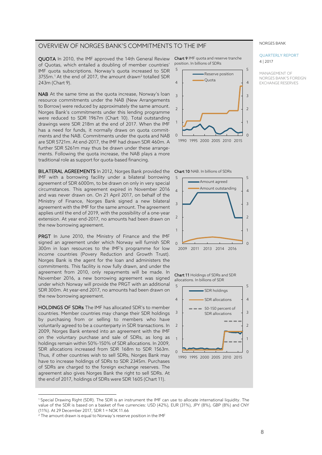# OVERVIEW OF NORGES BANK'S COMMITMENTS TO THE IMF

QUOTA In 2010, the IMF approved the 14th General Review of Quotas, which entailed a doubling of member countries' IMF quota subscriptions. Norway's quota increased to SDR 3755m.<sup>[1](#page-7-0)</sup> At the end of [2](#page-7-1)017, the amount drawn<sup>2</sup> totalled SDR 243m (Chart 9).

NAB At the same time as the quota increase, Norway's loan resource commitments under the NAB (New Arrangements to Borrow) were reduced by approximately the same amount. Norges Bank's commitments under this lending programme were reduced to SDR 1967m (Chart 10). Total outstanding drawings were SDR 218m at the end of 2017. When the IMF has a need for funds, it normally draws on quota commitments and the NAB. Commitments under the quota and NAB are SDR 5721m. At end-2017, the IMF had drawn SDR 460m. A further SDR 5261m may thus be drawn under these arrangements. Following the quota increase, the NAB plays a more traditional role as support for quota-based financing.

**BILATERAL AGREEMENTS** In 2012, Norges Bank provided the **Chart 10** NAB. In billions of SDRs IMF with a borrowing facility under a bilateral borrowing agreement of SDR 6000m, to be drawn on only in very special circumstances. This agreement expired in November 2016  $\quad_4$ and was never drawn on. On 21 April 2017, on behalf of the Ministry of Finance, Norges Bank signed a new bilateral agreement with the IMF for the same amount. The agreement applies until the end of 2019, with the possibility of a one-year extension. At year end-2017, no amounts had been drawn on the new borrowing agreement.

PRGT In June 2010, the Ministry of Finance and the IMF signed an agreement under which Norway will furnish SDR 300m in loan resources to the IMF's programme for low income countries (Povery Reduction and Growth Trust). Norges Bank is the agent for the loan and administers the commitments. This facility is now fully drawn, and under the agreement from 2010, only repayments will be made. In November 2016, a new borrowing agreement was signed under which Norway will provide the PRGT with an additional SDR 300m. At year-end 2017, no amounts had been drawn on the new borrowing agreement.

HOLDINGS OF SDRs The IMF has allocated SDR's to member countries. Member countries may change their SDR holdings by purchasing from or selling to members who have voluntarily agreed to be a counterparty in SDR transactions. In 2009, Norges Bank entered into an agreement with the IMF on the voluntary purchase and sale of SDRs, as long as holdings remain within 50%-150% of SDR allocations. In 2009, SDR allocations increased from SDR 168m to SDR 1563m. Thus, if other countries wish to sell SDRs, Norges Bank may have to increase holdings of SDRs to SDR 2345m. Purchases of SDRs are charged to the foreign exchange reserves. The agreement also gives Norges Bank the right to sell SDRs. At the end of 2017, holdings of SDRs were SDR 1605 (Chart 11).

Chart 9 IMF quota and reserve tranche position. In billions of SDRs









<span id="page-7-0"></span><sup>1</sup> Special Drawing Right (SDR). The SDR is an instrument the IMF can use to allocate international liquidity. The value of the SDR is based on a basket of five currencies: USD (42%), EUR (31%), JPY (8%), GBP (8%) and CNY (11%). At 29 December 2017, SDR 1 = NOK 11.66

 $\overline{a}$ 

QUARTERLY REPORT

NORGES BANK

4 | 2017

<span id="page-7-1"></span><sup>&</sup>lt;sup>2</sup> The amount drawn is equal to Norway's reserve position in the IMF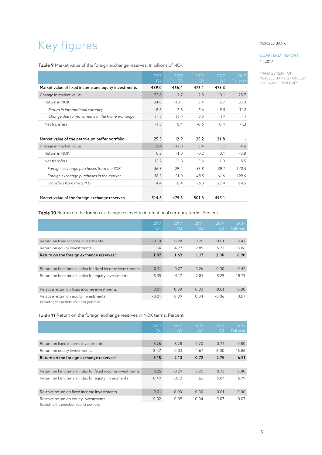# <span id="page-8-0"></span>Key figures

# Table 9 Market value of the foreign exchange reserves. In billions of NOK

|                                                     | 2017<br>Q <sub>4</sub> | 2017<br>Q <sub>3</sub> | 2017<br>Q <sub>2</sub> | 2017<br>Q1 | 2017<br>Full year |
|-----------------------------------------------------|------------------------|------------------------|------------------------|------------|-------------------|
| Market value of fixed income and equity investments | 489.0                  | 466.4                  | 476.1                  | 473.3      |                   |
| Change in market value                              | 22.6                   | $-9.7$                 | 2.8                    | 13.1       | 28.7              |
| Return in NOK                                       | 74.0                   | $-10.1$                | 3.4                    | 12.7       | 30.0              |
| Return in international currency                    | 8.8                    | 7.8                    | 5.6                    | 9.0        | 31.2              |
| Change due to movements in the krone exchange       | 15.2                   | $-17.9$                | $-2.2$                 | 3.7        | $-1.2$            |
| Net transfers                                       | $-1.5$                 | 0.4                    | $-0.6$                 | 0.4        | $-1.3$            |
|                                                     |                        |                        |                        |            |                   |
| Market value of the petroleum buffer portfolio      | 25.3                   | 12.9                   | 25.2                   | 21.8       |                   |
| Change in market value                              | 12.4                   | $-12.3$                | 3.4                    | 1.1        | 4.6               |
| Return in NOK                                       | 0.2                    | $-1.0$                 | $-0.2$                 | 0.1        | $-0.8$            |
| Net transfers                                       | 12.2                   | $-11.3$                | 3.6                    | 1.0        | 5.5               |
| Foreign exchange purchases from the SDFI            | 36.3                   | 29.4                   | 35.8                   | 39.1       | 140.5             |
| Foreign exchange purchases in the market            | $-38.5$                | $-51.0$                | $-48.5$                | $-61.6$    | $-199.6$          |
| Transfers from the GPFG                             | 14.4                   | 10.4                   | 16.3                   | 23.4       | 64.5              |
|                                                     |                        |                        |                        |            |                   |
| Market value of the foreign exchange reserves       | 514.3                  | 479.3                  | 501.3                  | 495.1      |                   |

Table 10 Return on the foreign exchange reserves in international currency terms. Percent

|                                                        | 2017<br>$\overline{O4}$ | 2017<br>Q <sub>3</sub> | 2017<br>Q <sub>2</sub> | 2017<br>Ο1 | 2017<br>Full year |
|--------------------------------------------------------|-------------------------|------------------------|------------------------|------------|-------------------|
|                                                        |                         |                        |                        |            |                   |
| Return on fixed income investments                     | $-0.10$                 | 0.28                   | 0.26                   | $-0.01$    | 0.42              |
| Return on equity investments                           | 5.34                    | 4.27                   | 2.85                   | 5.22       | 18.86             |
| Return on the foreign exchange reserves <sup>1</sup>   | 1.87                    | 1.69                   | 1.17                   | 2.00       | 6.90              |
|                                                        |                         |                        |                        |            |                   |
| Return on benchmark index for fixed income investments | $-0.11$                 | 0.27                   | 0.26                   | 0.00       | 0.42              |
| Return on benchmark index for equity investments       | 5.35                    | 4.17                   | 2.81                   | 5.29       | 18.79             |
|                                                        |                         |                        |                        |            |                   |
| Relative return on fixed income investments            | 0.01                    | 0.00                   | 0.00                   | $-0.01$    | 0.00              |
| Relative return on equity investments                  | $-0.01$                 | 0.09                   | 0.04                   | $-0.06$    | 0.07              |
| Excluding the petroleum buffer portfolio               |                         |                        |                        |            |                   |

Table 11 Return on the foreign exchange reserves in NOK terms. Percent

|                                                        | 2017<br>$\overline{O4}$ | 2017<br>O <sub>3</sub> | 2017<br>O <sub>2</sub> | 2017<br>O1 | 2017<br>Full year |
|--------------------------------------------------------|-------------------------|------------------------|------------------------|------------|-------------------|
|                                                        |                         |                        |                        |            |                   |
| Return on fixed income investments                     | 3.26                    | $-3.28$                | 0.20                   | 0.72       | 0.80              |
| Return on equity investments                           | 8.47                    | $-0.03$                | 1.67                   | 6.00       | 16.86             |
| Return on the foreign exchange reserves <sup>1</sup>   | 5.15                    | $-2.13$                | 0.72                   | 2.75       | 6.51              |
|                                                        |                         |                        |                        |            |                   |
| Return on benchmark index for fixed income investments | 3.25                    | $-3.29$                | 0.20                   | 0.73       | 0.80              |
| Return on benchmark index for equity investments       | 8.49                    | $-0.12$                | 1.62                   | 6.07       | 16.79             |
|                                                        |                         |                        |                        |            |                   |
| Relative return on fixed income investments            | 0.01                    | 0.00                   | 0.00                   | $-0.01$    | 0.00              |
| Relative return on equity investments                  | $-0.02$                 | 0.09                   | 0.04                   | $-0.07$    | 0.07              |
| Excluding the petroleum buffer portfolio               |                         |                        |                        |            |                   |

NORGES BANK

# QUARTERLY REPORT 4 | 2017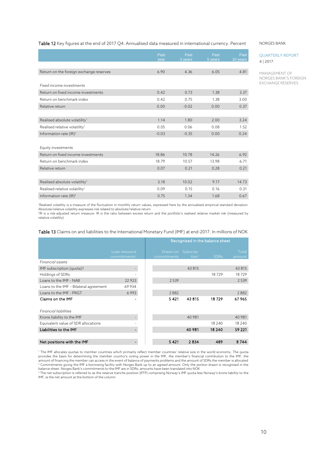# Table 12 Key figures at the end of 2017 Q4. Annualised data measured in international currency. Percent

|                                           | Past<br>vear | Past<br>3 years | Past<br>5 years | Past<br>10 years |
|-------------------------------------------|--------------|-----------------|-----------------|------------------|
|                                           |              |                 |                 |                  |
| Return on the foreign exchange reserves   | 6.90         | 4.36            | 6.05            | 4.81             |
| Fixed income investments                  |              |                 |                 |                  |
| Return on fixed income investments        | 0.42         | 0.73            | 1.38            | 3.37             |
| Return on benchmark index                 | 0.42         | 0.75            | 1.38            | 3.00             |
| Relative return                           | 0.00         | $-0.02$         | 0.00            | 0.37             |
|                                           |              |                 |                 |                  |
| Realised absolute volatility <sup>1</sup> | 1.14         | 1.80            | 2.00            | 3.24             |
| Realised relative volatility <sup>1</sup> | 0.05         | 0.06            | 0.08            | 1.52             |
| Information rate $( R)^2$                 | $-0.03$      | $-0.35$         | 0.00            | 0.24             |
| Equity investments                        |              |                 |                 |                  |
| Return on fixed income investments        | 18.86        | 10.78           | 14.26           | 6.92             |
| Return on benchmark index                 | 18.79        | 10.57           | 13.98           | 6.71             |
| Relative return                           | 0.07         | 0.21            | 0.28            | 0.21             |
|                                           |              |                 |                 |                  |
| Realised absolute volatility <sup>1</sup> | 3.18         | 10.02           | 9.17            | 14.73            |
| Realised relative volatility <sup>1</sup> | 0.09         | 0.15            | 0.16            | 0.31             |
| Information rate $( R)^2$                 | 0.75         | 1.34            | 1.68            | 0.67             |

1 Realised volatility is a measure of the fluctuation in monthly return values, expressed here by the annualised empirical standard deviation. Absolute/relative volatility expresses risk related to absolute/relative return

2 IR is a risk-adjusted return measure. IR is the ratio between excess return and the portfolio's realised relative market risk (measured by relative volatility)

|                                        |                                           | Recognised in the balance sheet |                       |             |                 |
|----------------------------------------|-------------------------------------------|---------------------------------|-----------------------|-------------|-----------------|
|                                        | Loan resource<br>commitments <sup>2</sup> | Drawn on<br>commitments         | Subscrip-<br>tion $3$ | <b>SDRs</b> | Total<br>amount |
| Financial assets                       |                                           |                                 |                       |             |                 |
| IMF subscription (quota)1              |                                           |                                 | 43 815                |             | 43815           |
| Holdings of SDRs                       |                                           |                                 |                       | 18729       | 18729           |
| Loans to the IMF - NAB                 | 22923                                     | 2539                            |                       |             | 2539            |
| Loans to the IMF - Bilateral agreement | 69934                                     |                                 |                       |             |                 |
| Loans to the IMF - PRGT                | 6993                                      | 2882                            |                       |             | 2882            |
| Claims on the IMF                      |                                           | 5421                            | 43815                 | 18729       | 67965           |
| <b>Financial liabilities</b>           |                                           |                                 |                       |             |                 |
| Krone liability to the IMF             |                                           |                                 | 40 981                |             | 40 981          |
| Equivalent value of SDR allocations    |                                           |                                 |                       | 18 2 4 0    | 18 240          |
| Liabilities to the IMF                 |                                           |                                 | 40 981                | 18 240      | 59 221          |
|                                        |                                           |                                 |                       |             |                 |
| Net positions with the IMF             | $\blacksquare$                            | 5 4 21                          | 2834                  | 489         | 8744            |

<sup>1</sup> The IMF allocates quotas to member countries which primarily reflect member countries' relative size in the world economy. The quota provides the basis for determining the member country's voting power in the IMF, the member's financial contribution to the IMF, the amount of financing the member can access in the event of balance of payments problems and the amount of SDRs the member is allocated<br><sup>2</sup> Commitments giving the IMF a borrowing facility with Norges Bank up to an agreed amo

<sup>3</sup> The net subscription is referred to as the reserve tranche position (RTP) comprising Norway's IMF quota less Norway's krone liability to the IMF, ie the net amount at the bottom of the column

#### NORGES BANK

# QUARTERLY REPORT 4 | 2017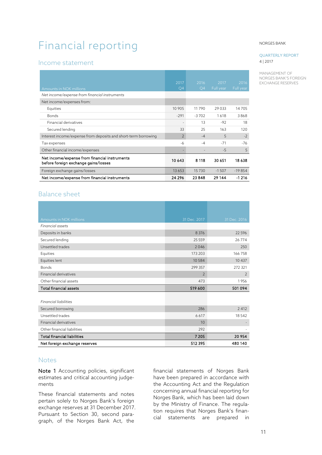# <span id="page-10-0"></span>Financial reporting

# <span id="page-10-1"></span>Income statement

|                                                                                       | 2017            | 2016            | 2017      | 2016      |
|---------------------------------------------------------------------------------------|-----------------|-----------------|-----------|-----------|
| Amounts in NOK millions                                                               | $\overline{O4}$ | $\overline{O4}$ | Full year | Full year |
| Net income/expense from financial instruments                                         |                 |                 |           |           |
| Net income/expenses from:                                                             |                 |                 |           |           |
| Equities                                                                              | 10 905          | 11790           | 29 0 3 3  | 14705     |
| <b>Bonds</b>                                                                          | $-291$          | $-3702$         | 1618      | 3868      |
| Financial derivatives                                                                 |                 | 13              | $-92$     | 18        |
| Secured lending                                                                       | 33              | 25              | 163       | 120       |
| Interest income/expense from deposits and short-term borrowing                        | $\overline{2}$  | $-4$            | 5         | $-2$      |
| Tax expenses                                                                          | $-6$            | $-4$            | $-71$     | $-76$     |
| Other financial income/expenses                                                       |                 |                 | $-5$      | 5         |
| Net income/expense from financial instruments<br>before foreign exchange gains/losses | 10 643          | 8 1 1 8         | 30 651    | 18 638    |
| Foreign exchange gains/losses                                                         | 13653           | 15730           | $-1507$   | $-19854$  |
| Net income/expense from financial instruments                                         | 24 296          | 23848           | 29 144    | $-1216$   |

# <span id="page-10-2"></span>Balance sheet

| Amounts in NOK millions            | 31 Dec. 2017   | 31 Dec. 2016   |
|------------------------------------|----------------|----------------|
| <b>Financial assets</b>            |                |                |
| Deposits in banks                  | 8 3 7 6        | 22 5 9 6       |
| Secured lending                    | 25559          | 26774          |
| Unsettled trades                   | 2046           | 250            |
| Equities                           | 173 203        | 166758         |
| Equities lent                      | 10584          | 10 437         |
| <b>Bonds</b>                       | 299 357        | 272 321        |
| Financial derivatives              | $\overline{2}$ | $\overline{2}$ |
| Other financial assets             | 473            | 1956           |
| <b>Total financial assets</b>      | 519 600        | 501 094        |
|                                    |                |                |
| <b>Financial liabilities</b>       |                |                |
| Secured borrowing                  | 286            | 2 4 1 2        |
| Unsettled trades                   | 6617           | 18542          |
| Financial derivatives              | 10             |                |
| Other financial liabilities        | 292            |                |
| <b>Total financial liabilities</b> | 7 2 0 5        | 20 954         |
| Net foreign exchange reserves      | 512 395        | 480 140        |

# <span id="page-10-3"></span>Notes

Note 1 Accounting policies, significant estimates and critical accounting judgements

These financial statements and notes pertain solely to Norges Bank's foreign exchange reserves at 31 December 2017. Pursuant to Section 30, second paragraph, of the Norges Bank Act, the

financial statements of Norges Bank have been prepared in accordance with the Accounting Act and the Regulation concerning annual financial reporting for Norges Bank, which has been laid down by the Ministry of Finance. The regulation requires that Norges Bank's financial statements are prepared in

#### NORGES BANK

# QUARTERLY REPORT 4 | 2017